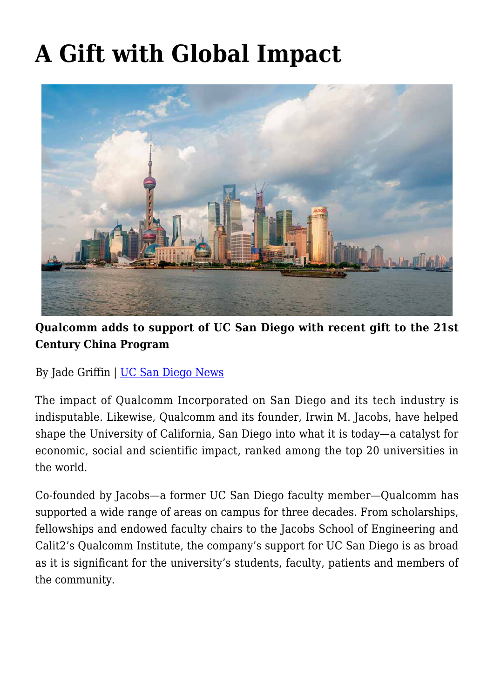## **[A Gift with Global Impact](https://gpsnews.ucsd.edu/a-gift-with-global-impact-2/)**



**Qualcomm adds to support of UC San Diego with recent gift to the 21st Century China Program**

By Jade Griffin | [UC San Diego News](https://ucsdnews.ucsd.edu/pressrelease/a_gift_with_global_impact)

The impact of Qualcomm Incorporated on San Diego and its tech industry is indisputable. Likewise, Qualcomm and its founder, Irwin M. Jacobs, have helped shape the University of California, San Diego into what it is today—a catalyst for economic, social and scientific impact, ranked among the top 20 universities in the world.

Co-founded by Jacobs—a former UC San Diego faculty member—Qualcomm has supported a wide range of areas on campus for three decades. From scholarships, fellowships and endowed faculty chairs to the Jacobs School of Engineering and Calit2's Qualcomm Institute, the company's support for UC San Diego is as broad as it is significant for the university's students, faculty, patients and members of the community.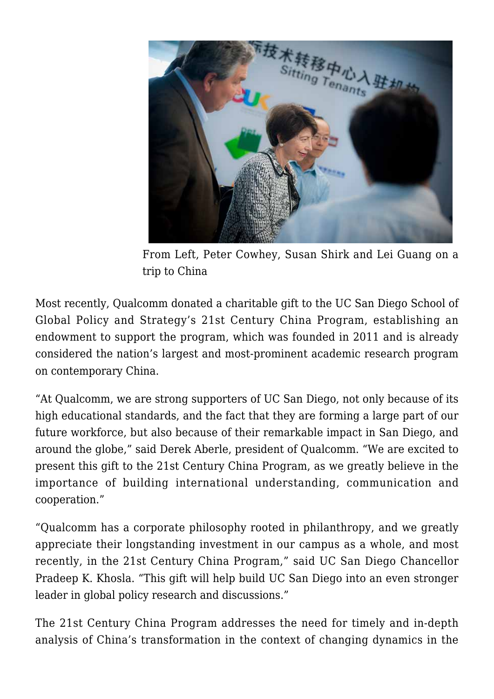

From Left, Peter Cowhey, Susan Shirk and Lei Guang on a trip to China

Most recently, Qualcomm donated a charitable gift to the UC San Diego School of Global Policy and Strategy's 21st Century China Program, establishing an endowment to support the program, which was founded in 2011 and is already considered the nation's largest and most-prominent academic research program on contemporary China.

"At Qualcomm, we are strong supporters of UC San Diego, not only because of its high educational standards, and the fact that they are forming a large part of our future workforce, but also because of their remarkable impact in San Diego, and around the globe," said Derek Aberle, president of Qualcomm. "We are excited to present this gift to the 21st Century China Program, as we greatly believe in the importance of building international understanding, communication and cooperation."

"Qualcomm has a corporate philosophy rooted in philanthropy, and we greatly appreciate their longstanding investment in our campus as a whole, and most recently, in the 21st Century China Program," said UC San Diego Chancellor Pradeep K. Khosla. "This gift will help build UC San Diego into an even stronger leader in global policy research and discussions."

The 21st Century China Program addresses the need for timely and in-depth analysis of China's transformation in the context of changing dynamics in the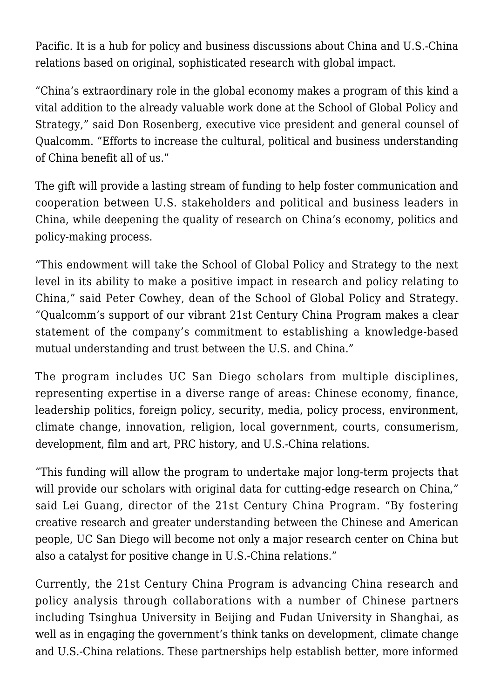Pacific. It is a hub for policy and business discussions about China and U.S.-China relations based on original, sophisticated research with global impact.

"China's extraordinary role in the global economy makes a program of this kind a vital addition to the already valuable work done at the School of Global Policy and Strategy," said Don Rosenberg, executive vice president and general counsel of Qualcomm. "Efforts to increase the cultural, political and business understanding of China benefit all of us."

The gift will provide a lasting stream of funding to help foster communication and cooperation between U.S. stakeholders and political and business leaders in China, while deepening the quality of research on China's economy, politics and policy-making process.

"This endowment will take the School of Global Policy and Strategy to the next level in its ability to make a positive impact in research and policy relating to China," said Peter Cowhey, dean of the School of Global Policy and Strategy. "Qualcomm's support of our vibrant 21st Century China Program makes a clear statement of the company's commitment to establishing a knowledge-based mutual understanding and trust between the U.S. and China."

The program includes UC San Diego scholars from multiple disciplines, representing expertise in a diverse range of areas: Chinese economy, finance, leadership politics, foreign policy, security, media, policy process, environment, climate change, innovation, religion, local government, courts, consumerism, development, film and art, PRC history, and U.S.-China relations.

"This funding will allow the program to undertake major long-term projects that will provide our scholars with original data for cutting-edge research on China," said Lei Guang, director of the 21st Century China Program. "By fostering creative research and greater understanding between the Chinese and American people, UC San Diego will become not only a major research center on China but also a catalyst for positive change in U.S.-China relations."

Currently, the 21st Century China Program is advancing China research and policy analysis through collaborations with a number of Chinese partners including Tsinghua University in Beijing and Fudan University in Shanghai, as well as in engaging the government's think tanks on development, climate change and U.S.-China relations. These partnerships help establish better, more informed